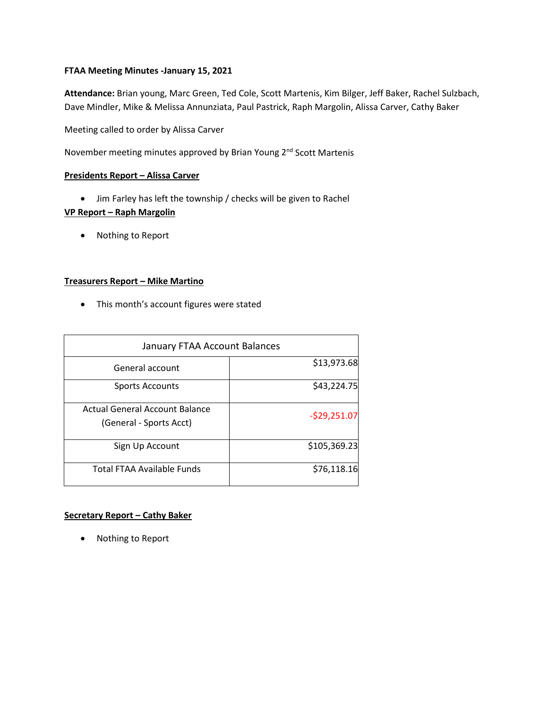### **FTAA Meeting Minutes -January 15, 2021**

**Attendance:** Brian young, Marc Green, Ted Cole, Scott Martenis, Kim Bilger, Jeff Baker, Rachel Sulzbach, Dave Mindler, Mike & Melissa Annunziata, Paul Pastrick, Raph Margolin, Alissa Carver, Cathy Baker

Meeting called to order by Alissa Carver

November meeting minutes approved by Brian Young 2<sup>nd</sup> Scott Martenis

# **Presidents Report – Alissa Carver**

• Jim Farley has left the township / checks will be given to Rachel

## **VP Report – Raph Margolin**

• Nothing to Report

# **Treasurers Report – Mike Martino**

• This month's account figures were stated

| January FTAA Account Balances                             |               |
|-----------------------------------------------------------|---------------|
| General account                                           | \$13,973.68   |
| <b>Sports Accounts</b>                                    | \$43,224.75   |
| Actual General Account Balance<br>(General - Sports Acct) | $-529,251.07$ |
| Sign Up Account                                           | \$105,369.23  |
| <b>Total FTAA Available Funds</b>                         | \$76,118.16   |

### **Secretary Report – Cathy Baker**

• Nothing to Report